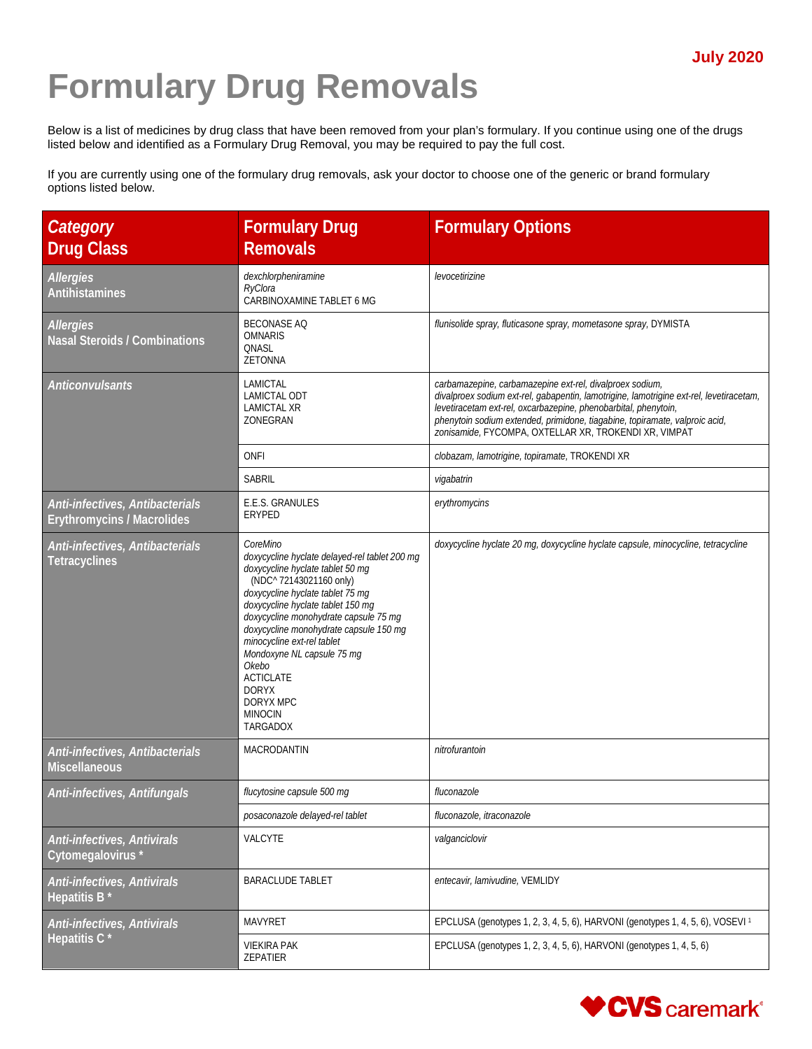## **Formulary Drug Removals**

Below is a list of medicines by drug class that have been removed from your plan's formulary. If you continue using one of the drugs listed below and identified as a Formulary Drug Removal, you may be required to pay the full cost.

If you are currently using one of the formulary drug removals, ask your doctor to choose one of the generic or brand formulary options listed below.

| Category<br><b>Drug Class</b>                                        | <b>Formulary Drug</b><br><b>Removals</b>                                                                                                                                                                                                                                                                                                                                                                                                 | <b>Formulary Options</b>                                                                                                                                                                                                                                                                                                                                       |
|----------------------------------------------------------------------|------------------------------------------------------------------------------------------------------------------------------------------------------------------------------------------------------------------------------------------------------------------------------------------------------------------------------------------------------------------------------------------------------------------------------------------|----------------------------------------------------------------------------------------------------------------------------------------------------------------------------------------------------------------------------------------------------------------------------------------------------------------------------------------------------------------|
| <b>Allergies</b><br>Antihistamines                                   | dexchlorpheniramine<br>RyClora<br>CARBINOXAMINE TABLET 6 MG                                                                                                                                                                                                                                                                                                                                                                              | levocetirizine                                                                                                                                                                                                                                                                                                                                                 |
| <b>Allergies</b><br><b>Nasal Steroids / Combinations</b>             | <b>BECONASE AQ</b><br><b>OMNARIS</b><br>ONASL<br><b>ZETONNA</b>                                                                                                                                                                                                                                                                                                                                                                          | flunisolide spray, fluticasone spray, mometasone spray, DYMISTA                                                                                                                                                                                                                                                                                                |
| <b>Anticonvulsants</b>                                               | LAMICTAL<br><b>LAMICTAL ODT</b><br>LAMICTAL XR<br>ZONEGRAN                                                                                                                                                                                                                                                                                                                                                                               | carbamazepine, carbamazepine ext-rel, divalproex sodium,<br>divalproex sodium ext-rel, gabapentin, lamotrigine, lamotrigine ext-rel, levetiracetam,<br>levetiracetam ext-rel, oxcarbazepine, phenobarbital, phenytoin,<br>phenytoin sodium extended, primidone, tiagabine, topiramate, valproic acid,<br>zonisamide, FYCOMPA, OXTELLAR XR, TROKENDI XR, VIMPAT |
|                                                                      | <b>ONFI</b>                                                                                                                                                                                                                                                                                                                                                                                                                              | clobazam, lamotrigine, topiramate, TROKENDI XR                                                                                                                                                                                                                                                                                                                 |
|                                                                      | <b>SABRIL</b>                                                                                                                                                                                                                                                                                                                                                                                                                            | vigabatrin                                                                                                                                                                                                                                                                                                                                                     |
| Anti-infectives, Antibacterials<br><b>Erythromycins / Macrolides</b> | E.E.S. GRANULES<br>ERYPED                                                                                                                                                                                                                                                                                                                                                                                                                | erythromycins                                                                                                                                                                                                                                                                                                                                                  |
| Anti-infectives, Antibacterials<br><b>Tetracyclines</b>              | CoreMino<br>doxycycline hyclate delayed-rel tablet 200 mg<br>doxycycline hyclate tablet 50 mg<br>(NDC^ 72143021160 only)<br>doxycycline hyclate tablet 75 mg<br>doxycycline hyclate tablet 150 mg<br>doxycycline monohydrate capsule 75 mg<br>doxycycline monohydrate capsule 150 mg<br>minocycline ext-rel tablet<br>Mondoxyne NL capsule 75 mg<br>Okebo<br><b>ACTICLATE</b><br><b>DORYX</b><br>DORYX MPC<br><b>MINOCIN</b><br>TARGADOX | doxycycline hyclate 20 mg, doxycycline hyclate capsule, minocycline, tetracycline                                                                                                                                                                                                                                                                              |
| Anti-infectives, Antibacterials<br><b>Miscellaneous</b>              | MACRODANTIN                                                                                                                                                                                                                                                                                                                                                                                                                              | nitrofurantoin                                                                                                                                                                                                                                                                                                                                                 |
| Anti-infectives, Antifungals                                         | flucytosine capsule 500 mg                                                                                                                                                                                                                                                                                                                                                                                                               | fluconazole                                                                                                                                                                                                                                                                                                                                                    |
|                                                                      | posaconazole delayed-rel tablet                                                                                                                                                                                                                                                                                                                                                                                                          | fluconazole, itraconazole                                                                                                                                                                                                                                                                                                                                      |
| Anti-infectives, Antivirals<br>Cytomegalovirus*                      | VALCYTE                                                                                                                                                                                                                                                                                                                                                                                                                                  | valganciclovir                                                                                                                                                                                                                                                                                                                                                 |
| Anti-infectives, Antivirals<br>Hepatitis B                           | <b>BARACLUDE TABLET</b>                                                                                                                                                                                                                                                                                                                                                                                                                  | entecavir, lamivudine, VEMLIDY                                                                                                                                                                                                                                                                                                                                 |
| Anti-infectives, Antivirals                                          | <b>MAVYRET</b>                                                                                                                                                                                                                                                                                                                                                                                                                           | EPCLUSA (genotypes 1, 2, 3, 4, 5, 6), HARVONI (genotypes 1, 4, 5, 6), VOSEVI <sup>1</sup>                                                                                                                                                                                                                                                                      |
| Hepatitis C <sup>*</sup>                                             | <b>VIEKIRA PAK</b><br>ZEPATIER                                                                                                                                                                                                                                                                                                                                                                                                           | EPCLUSA (genotypes 1, 2, 3, 4, 5, 6), HARVONI (genotypes 1, 4, 5, 6)                                                                                                                                                                                                                                                                                           |

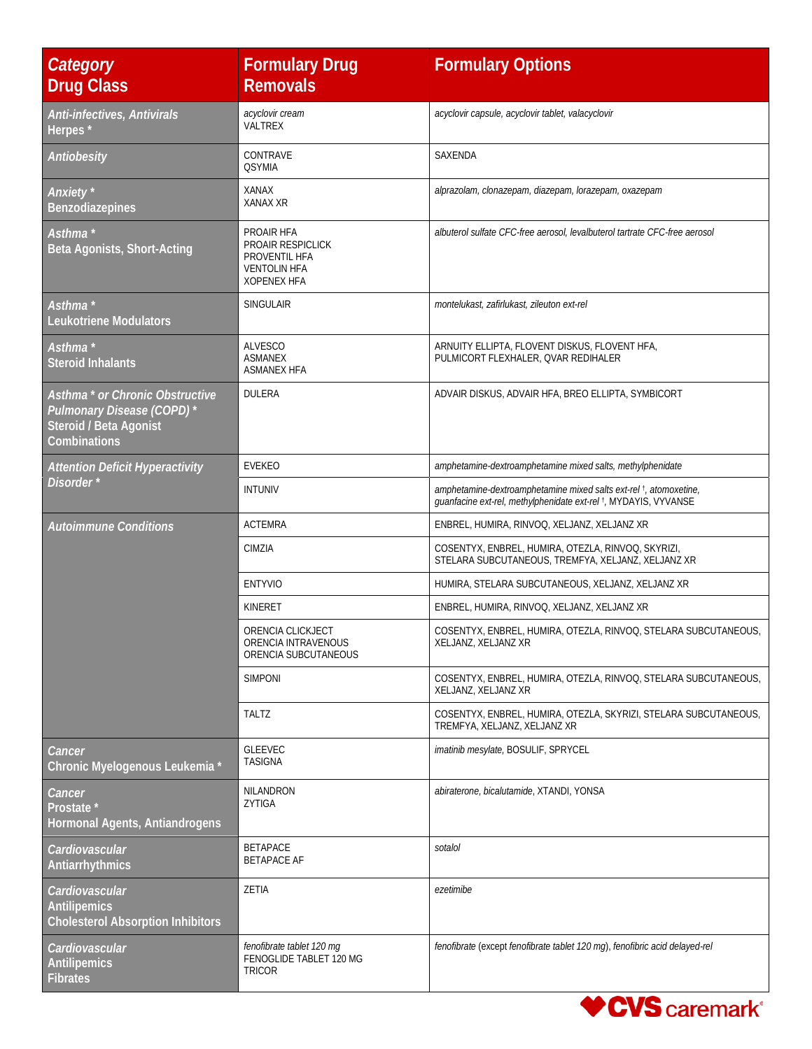| Category<br><b>Drug Class</b>                                                                                            | <b>Formulary Drug</b><br><b>Removals</b>                                                      | <b>Formulary Options</b>                                                                                                                         |
|--------------------------------------------------------------------------------------------------------------------------|-----------------------------------------------------------------------------------------------|--------------------------------------------------------------------------------------------------------------------------------------------------|
| Anti-infectives, Antivirals<br>Herpes*                                                                                   | acyclovir cream<br>VALTREX                                                                    | acyclovir capsule, acyclovir tablet, valacyclovir                                                                                                |
| Antiobesity                                                                                                              | CONTRAVE<br><b>QSYMIA</b>                                                                     | SAXENDA                                                                                                                                          |
| Anxiety <sup>*</sup><br><b>Benzodiazepines</b>                                                                           | <b>XANAX</b><br><b>XANAX XR</b>                                                               | alprazolam, clonazepam, diazepam, lorazepam, oxazepam                                                                                            |
| Asthma *<br>Beta Agonists, Short-Acting                                                                                  | PROAIR HFA<br>PROAIR RESPICLICK<br>PROVENTIL HFA<br><b>VENTOLIN HFA</b><br><b>XOPENEX HFA</b> | albuterol sulfate CFC-free aerosol, levalbuterol tartrate CFC-free aerosol                                                                       |
| Asthma *<br><b>Leukotriene Modulators</b>                                                                                | <b>SINGULAIR</b>                                                                              | montelukast, zafirlukast, zileuton ext-rel                                                                                                       |
| Asthma *<br><b>Steroid Inhalants</b>                                                                                     | <b>ALVESCO</b><br><b>ASMANEX</b><br><b>ASMANEX HFA</b>                                        | ARNUITY ELLIPTA, FLOVENT DISKUS, FLOVENT HFA,<br>PULMICORT FLEXHALER, QVAR REDIHALER                                                             |
| Asthma <sup>*</sup> or Chronic Obstructive<br>Pulmonary Disease (COPD)*<br>Steroid / Beta Agonist<br><b>Combinations</b> | <b>DULERA</b>                                                                                 | ADVAIR DISKUS, ADVAIR HFA, BREO ELLIPTA, SYMBICORT                                                                                               |
| <b>Attention Deficit Hyperactivity</b>                                                                                   | <b>EVEKEO</b>                                                                                 | amphetamine-dextroamphetamine mixed salts, methylphenidate                                                                                       |
| Disorder*                                                                                                                | <b>INTUNIV</b>                                                                                | amphetamine-dextroamphetamine mixed salts ext-rel <sup>t</sup> , atomoxetine,<br>guanfacine ext-rel, methylphenidate ext-rel +, MYDAYIS, VYVANSE |
| <b>Autoimmune Conditions</b>                                                                                             | <b>ACTEMRA</b>                                                                                | ENBREL, HUMIRA, RINVOQ, XELJANZ, XELJANZ XR                                                                                                      |
|                                                                                                                          | CIMZIA                                                                                        | COSENTYX, ENBREL, HUMIRA, OTEZLA, RINVOQ, SKYRIZI,<br>STELARA SUBCUTANEOUS, TREMFYA, XELJANZ, XELJANZ XR                                         |
|                                                                                                                          | <b>ENTYVIO</b>                                                                                | HUMIRA, STELARA SUBCUTANEOUS, XELJANZ, XELJANZ XR                                                                                                |
|                                                                                                                          | KINERET                                                                                       | ENBREL, HUMIRA, RINVOQ, XELJANZ, XELJANZ XR                                                                                                      |
|                                                                                                                          | ORENCIA CLICKJECT<br>ORENCIA INTRAVENOUS<br>ORENCIA SUBCUTANEOUS                              | COSENTYX, ENBREL, HUMIRA, OTEZLA, RINVOQ, STELARA SUBCUTANEOUS,<br>XELJANZ, XELJANZ XR                                                           |
|                                                                                                                          | <b>SIMPONI</b>                                                                                | COSENTYX, ENBREL, HUMIRA, OTEZLA, RINVOQ, STELARA SUBCUTANEOUS,<br>XELJANZ, XELJANZ XR                                                           |
|                                                                                                                          | <b>TALTZ</b>                                                                                  | COSENTYX, ENBREL, HUMIRA, OTEZLA, SKYRIZI, STELARA SUBCUTANEOUS,<br>TREMFYA, XELJANZ, XELJANZ XR                                                 |
| Cancer<br>Chronic Myelogenous Leukemia *                                                                                 | <b>GLEEVEC</b><br><b>TASIGNA</b>                                                              | imatinib mesylate, BOSULIF, SPRYCEL                                                                                                              |
| Cancer<br>Prostate <sup>*</sup><br>Hormonal Agents, Antiandrogens                                                        | NILANDRON<br>ZYTIGA                                                                           | abiraterone, bicalutamide, XTANDI, YONSA                                                                                                         |
| Cardiovascular<br>Antiarrhythmics                                                                                        | <b>BETAPACE</b><br><b>BETAPACE AF</b>                                                         | sotalol                                                                                                                                          |
| Cardiovascular<br>Antilipemics<br><b>Cholesterol Absorption Inhibitors</b>                                               | ZETIA                                                                                         | ezetimibe                                                                                                                                        |
| Cardiovascular<br>Antilipemics<br><b>Fibrates</b>                                                                        | fenofibrate tablet 120 mg<br>FENOGLIDE TABLET 120 MG<br>TRICOR                                | fenofibrate (except fenofibrate tablet 120 mg), fenofibric acid delayed-rel                                                                      |

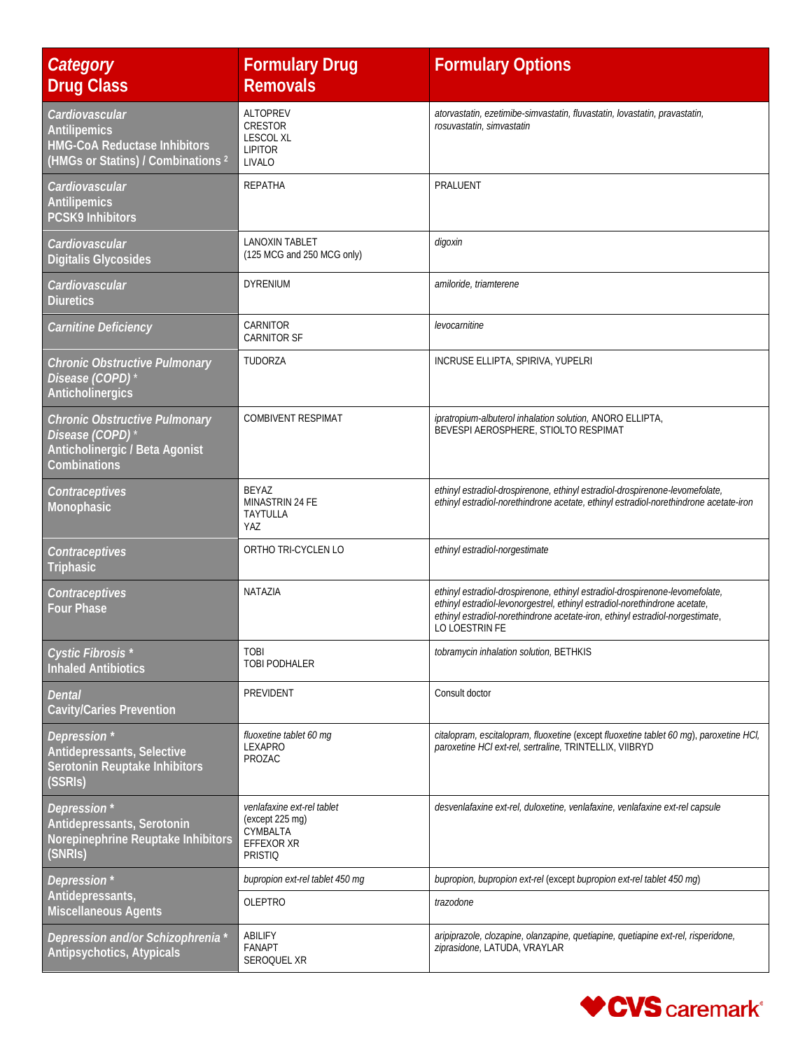| Category<br><b>Drug Class</b>                                                                                      | <b>Formulary Drug</b><br><b>Removals</b>                                                  | <b>Formulary Options</b>                                                                                                                                                                                                                                      |
|--------------------------------------------------------------------------------------------------------------------|-------------------------------------------------------------------------------------------|---------------------------------------------------------------------------------------------------------------------------------------------------------------------------------------------------------------------------------------------------------------|
| Cardiovascular<br><b>Antilipemics</b><br><b>HMG-CoA Reductase Inhibitors</b><br>(HMGs or Statins) / Combinations 2 | <b>ALTOPREV</b><br>CRESTOR<br><b>LESCOL XL</b><br><b>LIPITOR</b><br>LIVALO                | atorvastatin, ezetimibe-simvastatin, fluvastatin, lovastatin, pravastatin,<br>rosuvastatin, simvastatin                                                                                                                                                       |
| Cardiovascular<br>Antilipemics<br><b>PCSK9 Inhibitors</b>                                                          | <b>REPATHA</b>                                                                            | PRALUENT                                                                                                                                                                                                                                                      |
| Cardiovascular<br><b>Digitalis Glycosides</b>                                                                      | <b>LANOXIN TABLET</b><br>(125 MCG and 250 MCG only)                                       | digoxin                                                                                                                                                                                                                                                       |
| Cardiovascular<br><b>Diuretics</b>                                                                                 | <b>DYRENIUM</b>                                                                           | amiloride, triamterene                                                                                                                                                                                                                                        |
| Carnitine Deficiency                                                                                               | CARNITOR<br><b>CARNITOR SF</b>                                                            | levocarnitine                                                                                                                                                                                                                                                 |
| <b>Chronic Obstructive Pulmonary</b><br>Disease (COPD)<br>Anticholinergics                                         | TUDORZA                                                                                   | INCRUSE ELLIPTA, SPIRIVA, YUPELRI                                                                                                                                                                                                                             |
| <b>Chronic Obstructive Pulmonary</b><br>Disease (COPD)<br>Anticholinergic / Beta Agonist<br>Combinations           | <b>COMBIVENT RESPIMAT</b>                                                                 | ipratropium-albuterol inhalation solution, ANORO ELLIPTA,<br>BEVESPI AEROSPHERE, STIOLTO RESPIMAT                                                                                                                                                             |
| Contraceptives<br>Monophasic                                                                                       | <b>BEYAZ</b><br>MINASTRIN 24 FE<br>TAYTULLA<br>YAZ                                        | ethinyl estradiol-drospirenone, ethinyl estradiol-drospirenone-levomefolate,<br>ethinyl estradiol-norethindrone acetate, ethinyl estradiol-norethindrone acetate-iron                                                                                         |
| Contraceptives<br>Triphasic                                                                                        | ORTHO TRI-CYCLEN LO                                                                       | ethinyl estradiol-norgestimate                                                                                                                                                                                                                                |
| Contraceptives<br><b>Four Phase</b>                                                                                | NATAZIA                                                                                   | ethinyl estradiol-drospirenone, ethinyl estradiol-drospirenone-levomefolate,<br>ethinyl estradiol-levonorgestrel, ethinyl estradiol-norethindrone acetate,<br>ethinyl estradiol-norethindrone acetate-iron, ethinyl estradiol-norgestimate,<br>LO LOESTRIN FE |
| Cystic Fibrosis*<br><b>Inhaled Antibiotics</b>                                                                     | <b>TOBI</b><br>TOBI PODHALER                                                              | tobramycin inhalation solution, BETHKIS                                                                                                                                                                                                                       |
| <b>Dental</b><br><b>Cavity/Caries Prevention</b>                                                                   | PREVIDENT                                                                                 | Consult doctor                                                                                                                                                                                                                                                |
| Depression *<br>Antidepressants, Selective<br>Serotonin Reuptake Inhibitors<br>(SSRIs)                             | fluoxetine tablet 60 mg<br>LEXAPRO<br>PROZAC                                              | citalopram, escitalopram, fluoxetine (except fluoxetine tablet 60 mg), paroxetine HCI,<br>paroxetine HCl ext-rel, sertraline, TRINTELLIX, VIIBRYD                                                                                                             |
| Depression*<br>Antidepressants, Serotonin<br>Norepinephrine Reuptake Inhibitors<br>(SNRIs)                         | venlafaxine ext-rel tablet<br>(except 225 mg)<br>CYMBALTA<br>EFFEXOR XR<br><b>PRISTIQ</b> | desvenlafaxine ext-rel, duloxetine, venlafaxine, venlafaxine ext-rel capsule                                                                                                                                                                                  |
| Depression*<br>Antidepressants,                                                                                    | bupropion ext-rel tablet 450 mg                                                           | bupropion, bupropion ext-rel (except bupropion ext-rel tablet 450 mg)                                                                                                                                                                                         |
| <b>Miscellaneous Agents</b>                                                                                        | OLEPTRO                                                                                   | trazodone                                                                                                                                                                                                                                                     |
| Depression and/or Schizophrenia*<br>Antipsychotics, Atypicals                                                      | ABILIFY<br><b>FANAPT</b><br>SEROQUEL XR                                                   | aripiprazole, clozapine, olanzapine, quetiapine, quetiapine ext-rel, risperidone,<br>ziprasidone, LATUDA, VRAYLAR                                                                                                                                             |

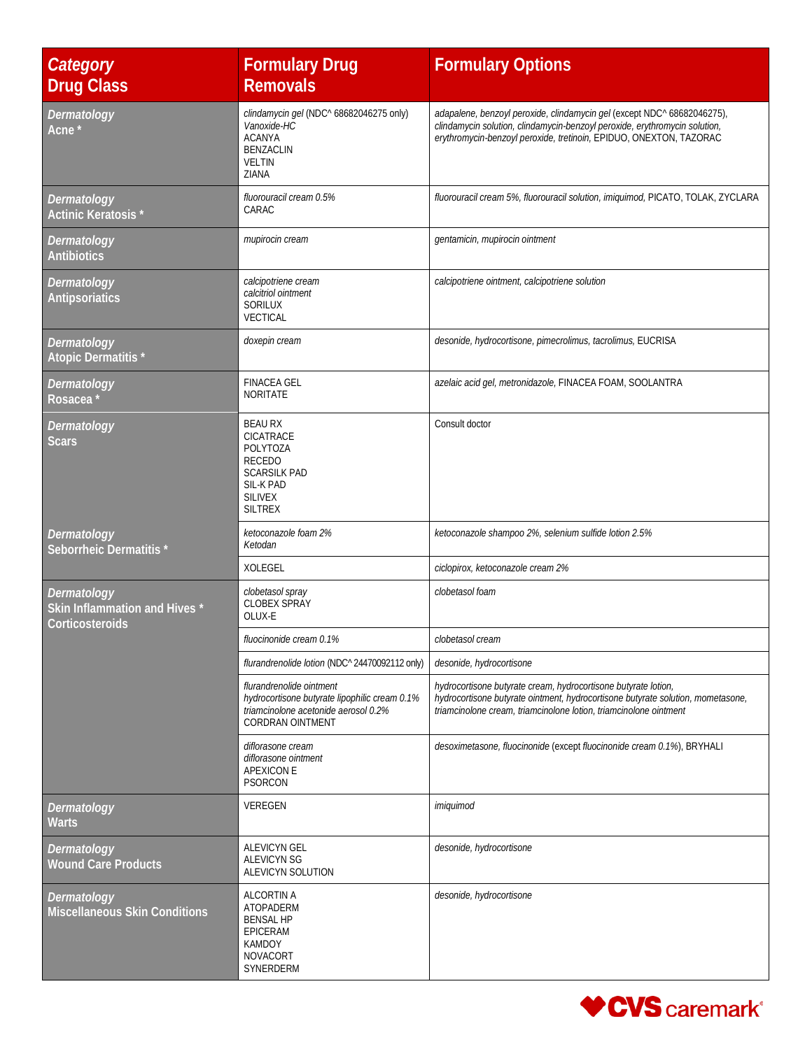| Category<br><b>Drug Class</b>                                   | <b>Formulary Drug</b><br><b>Removals</b>                                                                                                     | <b>Formulary Options</b>                                                                                                                                                                                                    |
|-----------------------------------------------------------------|----------------------------------------------------------------------------------------------------------------------------------------------|-----------------------------------------------------------------------------------------------------------------------------------------------------------------------------------------------------------------------------|
| Dermatology<br>Acne <sup>'</sup>                                | clindamycin gel (NDC^ 68682046275 only)<br>Vanoxide-HC<br><b>ACANYA</b><br><b>BENZACLIN</b><br><b>VELTIN</b><br>ZIANA                        | adapalene, benzoyl peroxide, clindamycin gel (except NDC^ 68682046275),<br>clindamycin solution, clindamycin-benzoyl peroxide, erythromycin solution,<br>erythromycin-benzoyl peroxide, tretinoin, EPIDUO, ONEXTON, TAZORAC |
| Dermatology<br>Actinic Keratosis*                               | fluorouracil cream 0.5%<br>CARAC                                                                                                             | fluorouracil cream 5%, fluorouracil solution, imiguimod, PICATO, TOLAK, ZYCLARA                                                                                                                                             |
| Dermatology<br><b>Antibiotics</b>                               | mupirocin cream                                                                                                                              | gentamicin, mupirocin ointment                                                                                                                                                                                              |
| Dermatology<br><b>Antipsoriatics</b>                            | calcipotriene cream<br>calcitriol ointment<br>SORILUX<br>VECTICAL                                                                            | calcipotriene ointment, calcipotriene solution                                                                                                                                                                              |
| Dermatology<br>Atopic Dermatitis*                               | doxepin cream                                                                                                                                | desonide, hydrocortisone, pimecrolimus, tacrolimus, EUCRISA                                                                                                                                                                 |
| Dermatology<br><b>Rosacea</b>                                   | <b>FINACEA GEL</b><br><b>NORITATE</b>                                                                                                        | azelaic acid gel, metronidazole, FINACEA FOAM, SOOLANTRA                                                                                                                                                                    |
| Dermatology<br>Scars                                            | <b>BEAU RX</b><br><b>CICATRACE</b><br>POLYTOZA<br><b>RECEDO</b><br><b>SCARSILK PAD</b><br>SIL-K PAD<br><b>SILIVEX</b><br><b>SILTREX</b>      | Consult doctor                                                                                                                                                                                                              |
| Dermatology<br>Seborrheic Dermatitis*                           | ketoconazole foam 2%<br>Ketodan                                                                                                              | ketoconazole shampoo 2%, selenium sulfide lotion 2.5%                                                                                                                                                                       |
|                                                                 | <b>XOLEGEL</b>                                                                                                                               | ciclopirox, ketoconazole cream 2%                                                                                                                                                                                           |
| Dermatology<br>Skin Inflammation and Hives *<br>Corticosteroids | clobetasol spray<br><b>CLOBEX SPRAY</b><br>OLUX-E                                                                                            | clobetasol foam                                                                                                                                                                                                             |
|                                                                 | fluocinonide cream 0.1%                                                                                                                      | clobetasol cream                                                                                                                                                                                                            |
|                                                                 | flurandrenolide lotion (NDC^ 24470092112 only)                                                                                               | desonide, hydrocortisone                                                                                                                                                                                                    |
|                                                                 | flurandrenolide ointment<br>hydrocortisone butyrate lipophilic cream 0.1%<br>triamcinolone acetonide aerosol 0.2%<br><b>CORDRAN OINTMENT</b> | hydrocortisone butyrate cream, hydrocortisone butyrate lotion,<br>hydrocortisone butyrate ointment, hydrocortisone butyrate solution, mometasone,<br>triamcinolone cream, triamcinolone lotion, triamcinolone ointment      |
|                                                                 | diflorasone cream<br>diflorasone ointment<br><b>APEXICON E</b><br>PSORCON                                                                    | desoximetasone, fluocinonide (except fluocinonide cream 0.1%), BRYHALI                                                                                                                                                      |
| Dermatology<br><b>Warts</b>                                     | VEREGEN                                                                                                                                      | imiquimod                                                                                                                                                                                                                   |
| Dermatology<br><b>Wound Care Products</b>                       | <b>ALEVICYN GEL</b><br><b>ALEVICYN SG</b><br>ALEVICYN SOLUTION                                                                               | desonide, hydrocortisone                                                                                                                                                                                                    |
| Dermatology<br><b>Miscellaneous Skin Conditions</b>             | <b>ALCORTIN A</b><br>ATOPADERM<br><b>BENSAL HP</b><br>EPICERAM<br><b>KAMDOY</b><br><b>NOVACORT</b><br>SYNERDERM                              | desonide, hydrocortisone                                                                                                                                                                                                    |

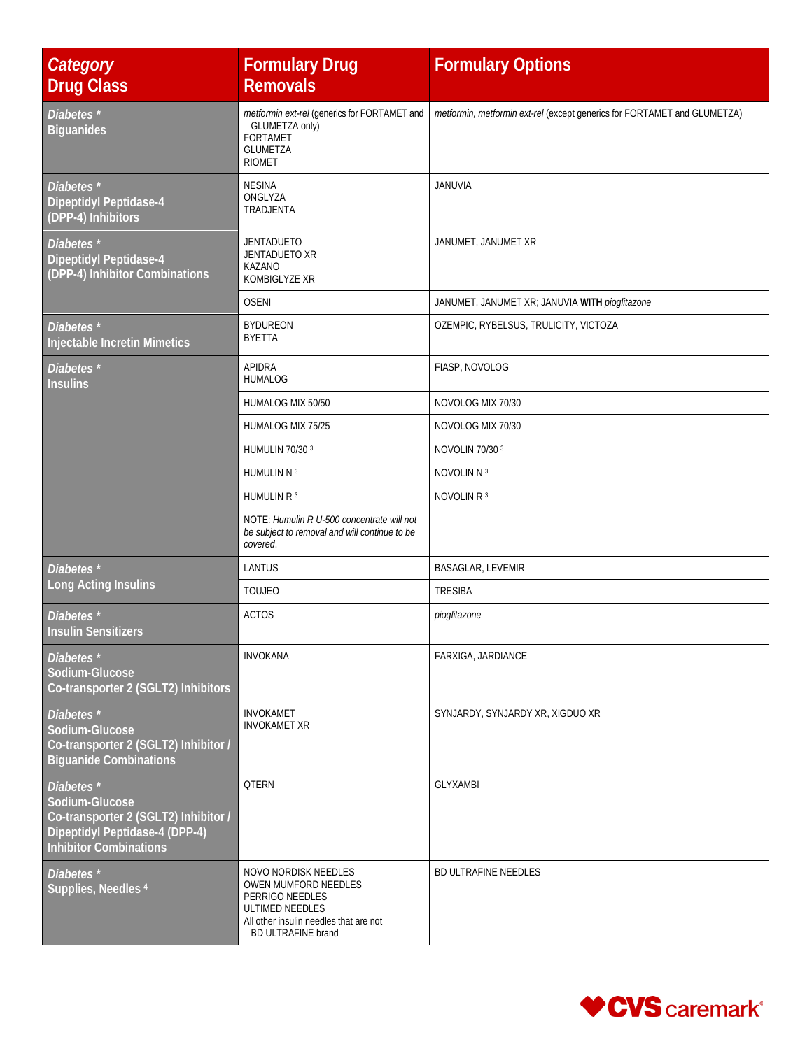| Category<br><b>Drug Class</b>                                                                                                                      | <b>Formulary Drug</b><br><b>Removals</b>                                                                                                                  | <b>Formulary Options</b>                                                 |
|----------------------------------------------------------------------------------------------------------------------------------------------------|-----------------------------------------------------------------------------------------------------------------------------------------------------------|--------------------------------------------------------------------------|
| Diabetes*<br><b>Biguanides</b>                                                                                                                     | metformin ext-rel (generics for FORTAMET and<br>GLUMETZA only)<br><b>FORTAMET</b><br><b>GLUMETZA</b><br><b>RIOMET</b>                                     | metformin, metformin ext-rel (except generics for FORTAMET and GLUMETZA) |
| Diabetes*<br><b>Dipeptidyl Peptidase-4</b><br>(DPP-4) Inhibitors                                                                                   | <b>NESINA</b><br>ONGLYZA<br>TRADJENTA                                                                                                                     | <b>JANUVIA</b>                                                           |
| Diabetes <sup>*</sup><br><b>Dipeptidyl Peptidase-4</b><br>(DPP-4) Inhibitor Combinations                                                           | <b>JENTADUETO</b><br>JENTADUETO XR<br><b>KAZANO</b><br>KOMBIGLYZE XR                                                                                      | JANUMET, JANUMET XR                                                      |
|                                                                                                                                                    | <b>OSENI</b>                                                                                                                                              | JANUMET, JANUMET XR; JANUVIA WITH pioglitazone                           |
| Diabetes <sup>*</sup><br><b>Injectable Incretin Mimetics</b>                                                                                       | <b>BYDUREON</b><br><b>BYETTA</b>                                                                                                                          | OZEMPIC, RYBELSUS, TRULICITY, VICTOZA                                    |
| Diabetes*<br><b>Insulins</b>                                                                                                                       | <b>APIDRA</b><br><b>HUMALOG</b>                                                                                                                           | FIASP, NOVOLOG                                                           |
|                                                                                                                                                    | HUMALOG MIX 50/50                                                                                                                                         | NOVOLOG MIX 70/30                                                        |
|                                                                                                                                                    | HUMALOG MIX 75/25                                                                                                                                         | NOVOLOG MIX 70/30                                                        |
|                                                                                                                                                    | HUMULIN 70/30 3                                                                                                                                           | NOVOLIN 70/30 3                                                          |
|                                                                                                                                                    | HUMULIN N 3                                                                                                                                               | NOVOLIN N 3                                                              |
|                                                                                                                                                    | HUMULIN R 3                                                                                                                                               | NOVOLIN R <sup>3</sup>                                                   |
|                                                                                                                                                    | NOTE: Humulin R U-500 concentrate will not<br>be subject to removal and will continue to be<br>covered.                                                   |                                                                          |
| Diabetes <sup>*</sup>                                                                                                                              | LANTUS                                                                                                                                                    | <b>BASAGLAR, LEVEMIR</b>                                                 |
| Long Acting Insulins                                                                                                                               | <b>TOUJEO</b>                                                                                                                                             | <b>TRESIBA</b>                                                           |
| Diabetes <sup>*</sup><br><b>Insulin Sensitizers</b>                                                                                                | <b>ACTOS</b>                                                                                                                                              | pioglitazone                                                             |
| Diabetes <sup>*</sup><br>Sodium-Glucose<br>Co-transporter 2 (SGLT2) Inhibitors                                                                     | <b>INVOKANA</b>                                                                                                                                           | FARXIGA, JARDIANCE                                                       |
| Diabetes*<br>Sodium-Glucose<br>Co-transporter 2 (SGLT2) Inhibitor /<br><b>Biguanide Combinations</b>                                               | <b>INVOKAMET</b><br><b>INVOKAMET XR</b>                                                                                                                   | SYNJARDY, SYNJARDY XR, XIGDUO XR                                         |
| Diabetes <sup>*</sup><br>Sodium-Glucose<br>Co-transporter 2 (SGLT2) Inhibitor /<br>Dipeptidyl Peptidase-4 (DPP-4)<br><b>Inhibitor Combinations</b> | <b>OTERN</b>                                                                                                                                              | <b>GLYXAMBI</b>                                                          |
| Diabetes <sup>*</sup><br>Supplies, Needles <sup>4</sup>                                                                                            | NOVO NORDISK NEEDLES<br>OWEN MUMFORD NEEDLES<br>PERRIGO NEEDLES<br>ULTIMED NEEDLES<br>All other insulin needles that are not<br><b>BD ULTRAFINE brand</b> | <b>BD ULTRAFINE NEEDLES</b>                                              |

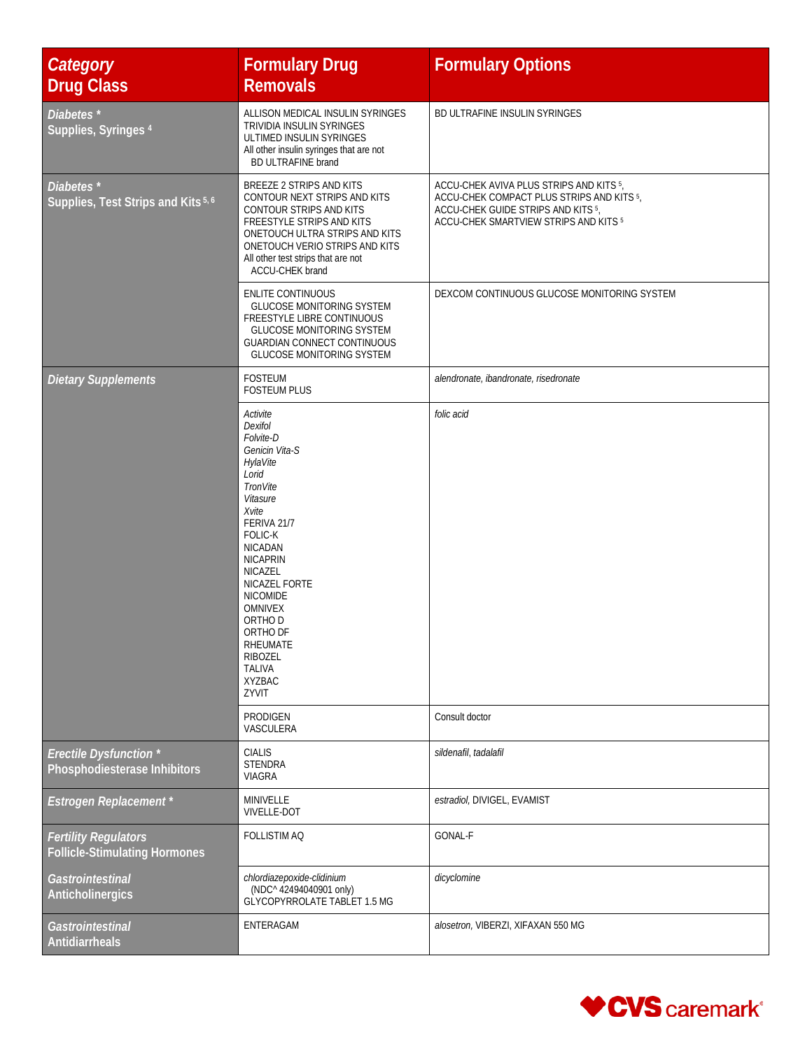| <b>Category</b><br><b>Drug Class</b>                                   | <b>Formulary Drug</b><br><b>Removals</b>                                                                                                                                                                                                                                                                                                               | <b>Formulary Options</b>                                                                                                                                            |
|------------------------------------------------------------------------|--------------------------------------------------------------------------------------------------------------------------------------------------------------------------------------------------------------------------------------------------------------------------------------------------------------------------------------------------------|---------------------------------------------------------------------------------------------------------------------------------------------------------------------|
| Diabetes <sup>*</sup><br>Supplies, Syringes 4                          | ALLISON MEDICAL INSULIN SYRINGES<br>TRIVIDIA INSULIN SYRINGES<br>ULTIMED INSULIN SYRINGES<br>All other insulin syringes that are not<br><b>BD ULTRAFINE brand</b>                                                                                                                                                                                      | BD ULTRAFINE INSULIN SYRINGES                                                                                                                                       |
| Diabetes <sup>*</sup><br>Supplies, Test Strips and Kits <sup>5,6</sup> | BREEZE 2 STRIPS AND KITS<br>CONTOUR NEXT STRIPS AND KITS<br>CONTOUR STRIPS AND KITS<br>FREESTYLE STRIPS AND KITS<br>ONETOUCH ULTRA STRIPS AND KITS<br>ONETOUCH VERIO STRIPS AND KITS<br>All other test strips that are not<br>ACCU-CHEK brand                                                                                                          | ACCU-CHEK AVIVA PLUS STRIPS AND KITS 5,<br>ACCU-CHEK COMPACT PLUS STRIPS AND KITS 5,<br>ACCU-CHEK GUIDE STRIPS AND KITS 5,<br>ACCU-CHEK SMARTVIEW STRIPS AND KITS 5 |
|                                                                        | ENLITE CONTINUOUS<br><b>GLUCOSE MONITORING SYSTEM</b><br>FREESTYLE LIBRE CONTINUOUS<br><b>GLUCOSE MONITORING SYSTEM</b><br><b>GUARDIAN CONNECT CONTINUOUS</b><br><b>GLUCOSE MONITORING SYSTEM</b>                                                                                                                                                      | DEXCOM CONTINUOUS GLUCOSE MONITORING SYSTEM                                                                                                                         |
| <b>Dietary Supplements</b>                                             | <b>FOSTEUM</b><br><b>FOSTEUM PLUS</b>                                                                                                                                                                                                                                                                                                                  | alendronate, ibandronate, risedronate                                                                                                                               |
|                                                                        | Activite<br>Dexifol<br>Folvite-D<br>Genicin Vita-S<br>HylaVite<br>Lorid<br><b>TronVite</b><br>Vitasure<br>Xvite<br>FERIVA 21/7<br><b>FOLIC-K</b><br><b>NICADAN</b><br><b>NICAPRIN</b><br>NICAZEL<br>NICAZEL FORTE<br><b>NICOMIDE</b><br><b>OMNIVEX</b><br>ORTHO D<br>ORTHO DF<br>RHEUMATE<br><b>RIBOZEL</b><br><b>TALIVA</b><br><b>XYZBAC</b><br>ZYVIT | folic acid                                                                                                                                                          |
|                                                                        | PRODIGEN<br>VASCULERA                                                                                                                                                                                                                                                                                                                                  | Consult doctor                                                                                                                                                      |
| <b>Erectile Dysfunction</b> *<br>Phosphodiesterase Inhibitors          | <b>CIALIS</b><br><b>STENDRA</b><br><b>VIAGRA</b>                                                                                                                                                                                                                                                                                                       | sildenafil, tadalafil                                                                                                                                               |
| <b>Estrogen Replacement</b> *                                          | MINIVELLE<br><b>VIVELLE-DOT</b>                                                                                                                                                                                                                                                                                                                        | estradiol, DIVIGEL, EVAMIST                                                                                                                                         |
| <b>Fertility Regulators</b><br><b>Follicle-Stimulating Hormones</b>    | <b>FOLLISTIM AQ</b>                                                                                                                                                                                                                                                                                                                                    | GONAL-F                                                                                                                                                             |
| Gastrointestinal<br>Anticholinergics                                   | chlordiazepoxide-clidinium<br>(NDC^42494040901 only)<br>GLYCOPYRROLATE TABLET 1.5 MG                                                                                                                                                                                                                                                                   | dicyclomine                                                                                                                                                         |
| Gastrointestinal<br><b>Antidiarrheals</b>                              | ENTERAGAM                                                                                                                                                                                                                                                                                                                                              | alosetron, VIBERZI, XIFAXAN 550 MG                                                                                                                                  |

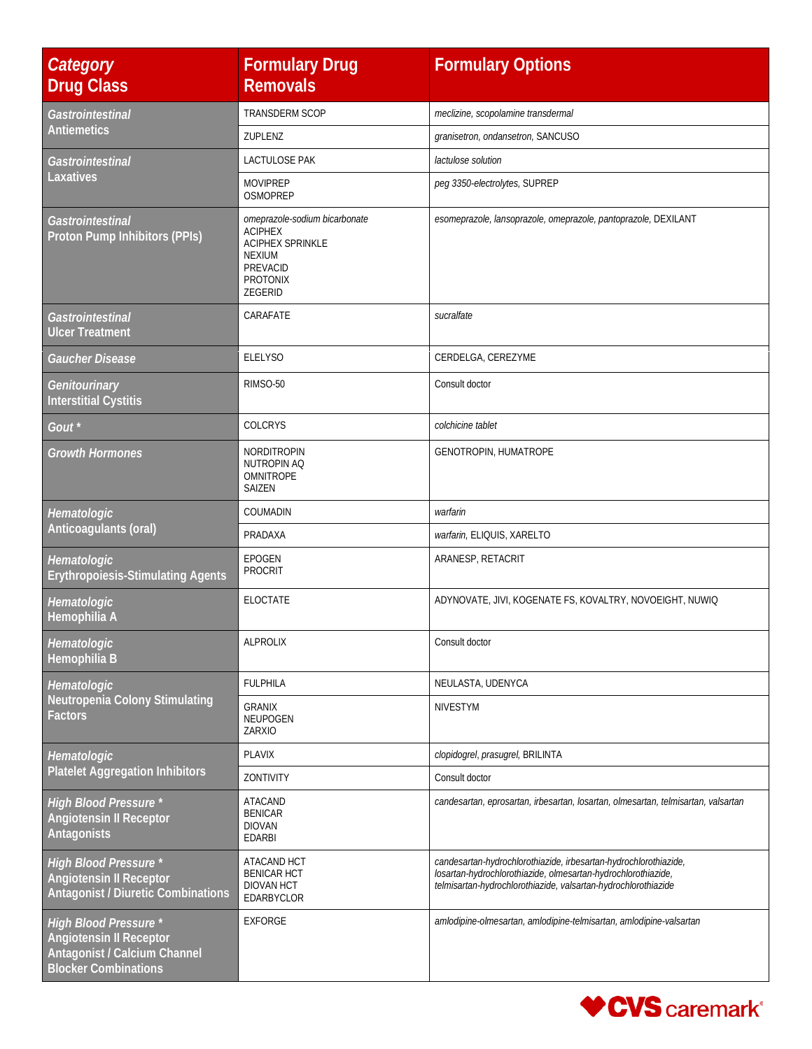| Category<br><b>Drug Class</b>                                                                                                 | <b>Formulary Drug</b><br><b>Removals</b>                                                                                              | <b>Formulary Options</b>                                                                                                                                                                            |
|-------------------------------------------------------------------------------------------------------------------------------|---------------------------------------------------------------------------------------------------------------------------------------|-----------------------------------------------------------------------------------------------------------------------------------------------------------------------------------------------------|
| Gastrointestinal<br><b>Antiemetics</b>                                                                                        | TRANSDERM SCOP                                                                                                                        | meclizine, scopolamine transdermal                                                                                                                                                                  |
|                                                                                                                               | ZUPLENZ                                                                                                                               | granisetron, ondansetron, SANCUSO                                                                                                                                                                   |
| Gastrointestinal                                                                                                              | <b>LACTULOSE PAK</b>                                                                                                                  | lactulose solution                                                                                                                                                                                  |
| Laxatives                                                                                                                     | <b>MOVIPREP</b><br>OSMOPREP                                                                                                           | peg 3350-electrolytes, SUPREP                                                                                                                                                                       |
| Gastrointestinal<br>Proton Pump Inhibitors (PPIs)                                                                             | omeprazole-sodium bicarbonate<br><b>ACIPHEX</b><br><b>ACIPHEX SPRINKLE</b><br><b>NEXIUM</b><br>PREVACID<br><b>PROTONIX</b><br>ZEGERID | esomeprazole, lansoprazole, omeprazole, pantoprazole, DEXILANT                                                                                                                                      |
| Gastrointestinal<br><b>Ulcer Treatment</b>                                                                                    | CARAFATE                                                                                                                              | sucralfate                                                                                                                                                                                          |
| <b>Gaucher Disease</b>                                                                                                        | <b>ELELYSO</b>                                                                                                                        | CERDELGA, CEREZYME                                                                                                                                                                                  |
| Genitourinary<br><b>Interstitial Cystitis</b>                                                                                 | RIMSO-50                                                                                                                              | Consult doctor                                                                                                                                                                                      |
| Gout <sup>*</sup>                                                                                                             | COLCRYS                                                                                                                               | colchicine tablet                                                                                                                                                                                   |
| <b>Growth Hormones</b>                                                                                                        | NORDITROPIN<br>NUTROPIN AQ<br>OMNITROPE<br>SAIZEN                                                                                     | GENOTROPIN, HUMATROPE                                                                                                                                                                               |
| Hematologic                                                                                                                   | COUMADIN                                                                                                                              | warfarin                                                                                                                                                                                            |
| Anticoagulants (oral)                                                                                                         | PRADAXA                                                                                                                               | warfarin, ELIQUIS, XARELTO                                                                                                                                                                          |
| Hematologic<br><b>Erythropoiesis-Stimulating Agents</b>                                                                       | <b>EPOGEN</b><br><b>PROCRIT</b>                                                                                                       | ARANESP, RETACRIT                                                                                                                                                                                   |
| Hematologic<br>Hemophilia A                                                                                                   | ELOCTATE                                                                                                                              | ADYNOVATE, JIVI, KOGENATE FS, KOVALTRY, NOVOEIGHT, NUWIQ                                                                                                                                            |
| Hematologic<br>Hemophilia B                                                                                                   | <b>ALPROLIX</b>                                                                                                                       | Consult doctor                                                                                                                                                                                      |
| Hematologic                                                                                                                   | <b>FULPHILA</b>                                                                                                                       | NEULASTA, UDENYCA                                                                                                                                                                                   |
| Neutropenia Colony Stimulating<br>Factors                                                                                     | <b>GRANIX</b><br>NEUPOGEN<br>ZARXIO                                                                                                   | <b>NIVESTYM</b>                                                                                                                                                                                     |
| Hematologic                                                                                                                   | <b>PLAVIX</b>                                                                                                                         | clopidogrel, prasugrel, BRILINTA                                                                                                                                                                    |
| <b>Platelet Aggregation Inhibitors</b>                                                                                        | ZONTIVITY                                                                                                                             | Consult doctor                                                                                                                                                                                      |
| <b>High Blood Pressure *</b><br><b>Angiotensin II Receptor</b><br><b>Antagonists</b>                                          | <b>ATACAND</b><br><b>BENICAR</b><br><b>DIOVAN</b><br><b>EDARBI</b>                                                                    | candesartan, eprosartan, irbesartan, losartan, olmesartan, telmisartan, valsartan                                                                                                                   |
| <b>High Blood Pressure *</b><br><b>Angiotensin II Receptor</b><br><b>Antagonist / Diuretic Combinations</b>                   | ATACAND HCT<br><b>BENICAR HCT</b><br><b>DIOVAN HCT</b><br>EDARBYCLOR                                                                  | candesartan-hydrochlorothiazide, irbesartan-hydrochlorothiazide,<br>losartan-hydrochlorothiazide, olmesartan-hydrochlorothiazide,<br>telmisartan-hydrochlorothiazide, valsartan-hydrochlorothiazide |
| <b>High Blood Pressure *</b><br><b>Angiotensin II Receptor</b><br>Antagonist / Calcium Channel<br><b>Blocker Combinations</b> | <b>EXFORGE</b>                                                                                                                        | amlodipine-olmesartan, amlodipine-telmisartan, amlodipine-valsartan                                                                                                                                 |

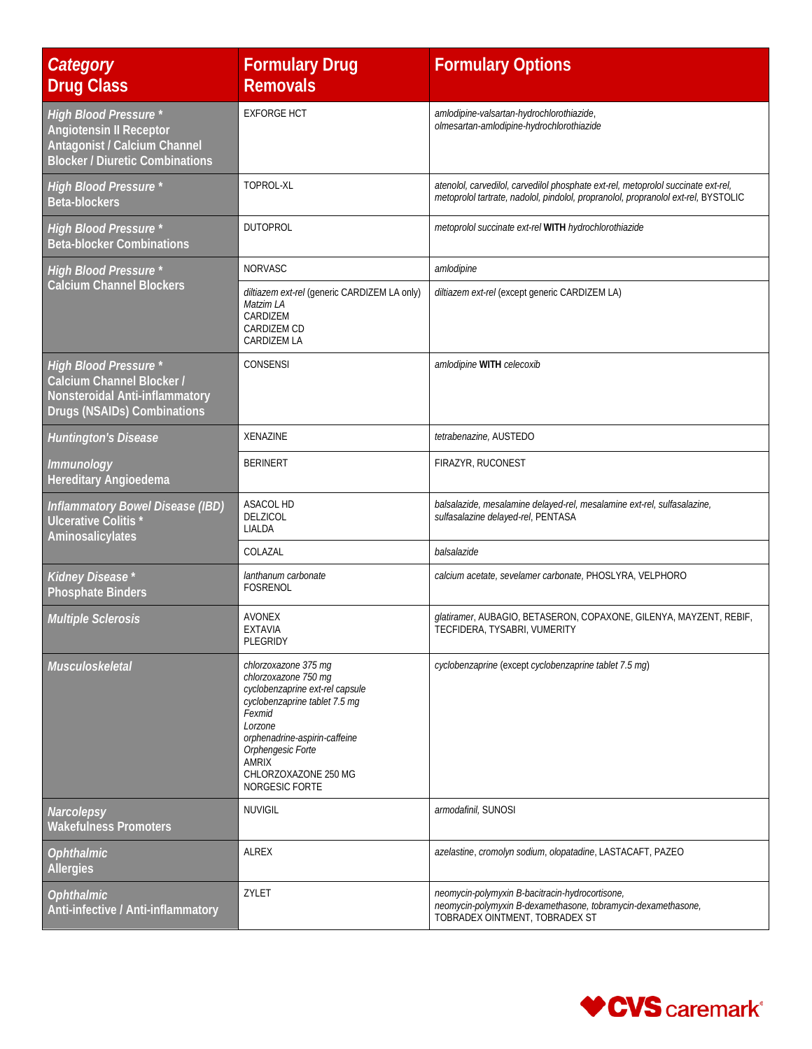| Category<br><b>Drug Class</b>                                                                                                            | <b>Formulary Drug</b><br><b>Removals</b>                                                                                                                                                                                                              | <b>Formulary Options</b>                                                                                                                                                |
|------------------------------------------------------------------------------------------------------------------------------------------|-------------------------------------------------------------------------------------------------------------------------------------------------------------------------------------------------------------------------------------------------------|-------------------------------------------------------------------------------------------------------------------------------------------------------------------------|
| <b>High Blood Pressure *</b><br><b>Angiotensin II Receptor</b><br>Antagonist / Calcium Channel<br><b>Blocker / Diuretic Combinations</b> | <b>EXFORGE HCT</b>                                                                                                                                                                                                                                    | amlodipine-valsartan-hydrochlorothiazide,<br>olmesartan-amlodipine-hydrochlorothiazide                                                                                  |
| <b>High Blood Pressure *</b><br><b>Beta-blockers</b>                                                                                     | TOPROL-XL                                                                                                                                                                                                                                             | atenolol, carvedilol, carvedilol phosphate ext-rel, metoprolol succinate ext-rel,<br>metoprolol tartrate, nadolol, pindolol, propranolol, propranolol ext-rel, BYSTOLIC |
| <b>High Blood Pressure *</b><br><b>Beta-blocker Combinations</b>                                                                         | <b>DUTOPROL</b>                                                                                                                                                                                                                                       | metoprolol succinate ext-rel WITH hydrochlorothiazide                                                                                                                   |
| <b>High Blood Pressure *</b>                                                                                                             | NORVASC                                                                                                                                                                                                                                               | amlodipine                                                                                                                                                              |
| Calcium Channel Blockers                                                                                                                 | diltiazem ext-rel (generic CARDIZEM LA only)<br>Matzim LA<br>CARDIZEM<br>CARDIZEM CD<br>CARDIZEM LA                                                                                                                                                   | diltiazem ext-rel (except generic CARDIZEM LA)                                                                                                                          |
| <b>High Blood Pressure *</b><br>Calcium Channel Blocker /<br>Nonsteroidal Anti-inflammatory<br>Drugs (NSAIDs) Combinations               | CONSENSI                                                                                                                                                                                                                                              | amlodipine WITH celecoxib                                                                                                                                               |
| <b>Huntington's Disease</b>                                                                                                              | <b>XENAZINE</b>                                                                                                                                                                                                                                       | tetrabenazine, AUSTEDO                                                                                                                                                  |
| Immunology<br><b>Hereditary Angioedema</b>                                                                                               | <b>BERINERT</b>                                                                                                                                                                                                                                       | FIRAZYR, RUCONEST                                                                                                                                                       |
| Inflammatory Bowel Disease (IBD)<br>Ulcerative Colitis*<br>Aminosalicylates                                                              | ASACOL HD<br>DELZICOL<br>LIALDA                                                                                                                                                                                                                       | balsalazide, mesalamine delayed-rel, mesalamine ext-rel, sulfasalazine,<br>sulfasalazine delayed-rel, PENTASA                                                           |
|                                                                                                                                          | COLAZAL                                                                                                                                                                                                                                               | balsalazide                                                                                                                                                             |
| Kidney Disease*<br><b>Phosphate Binders</b>                                                                                              | lanthanum carbonate<br><b>FOSRENOL</b>                                                                                                                                                                                                                | calcium acetate, sevelamer carbonate, PHOSLYRA, VELPHORO                                                                                                                |
| <b>Multiple Sclerosis</b>                                                                                                                | <b>AVONEX</b><br><b>EXTAVIA</b><br>PLEGRIDY                                                                                                                                                                                                           | glatiramer, AUBAGIO, BETASERON, COPAXONE, GILENYA, MAYZENT, REBIF,<br>TECFIDERA, TYSABRI, VUMERITY                                                                      |
| Musculoskeletal                                                                                                                          | chlorzoxazone 375 mg<br>chlorzoxazone 750 mg<br>cyclobenzaprine ext-rel capsule<br>cyclobenzaprine tablet 7.5 mg<br>Fexmid<br>Lorzone<br>orphenadrine-aspirin-caffeine<br>Orphengesic Forte<br><b>AMRIX</b><br>CHLORZOXAZONE 250 MG<br>NORGESIC FORTE | cyclobenzaprine (except cyclobenzaprine tablet 7.5 mg)                                                                                                                  |
| Narcolepsy<br><b>Wakefulness Promoters</b>                                                                                               | <b>NUVIGIL</b>                                                                                                                                                                                                                                        | armodafinil, SUNOSI                                                                                                                                                     |
| <b>Ophthalmic</b><br><b>Allergies</b>                                                                                                    | ALREX                                                                                                                                                                                                                                                 | azelastine, cromolyn sodium, olopatadine, LASTACAFT, PAZEO                                                                                                              |
| <b>Ophthalmic</b><br>Anti-infective / Anti-inflammatory                                                                                  | ZYLET                                                                                                                                                                                                                                                 | neomycin-polymyxin B-bacitracin-hydrocortisone,<br>neomycin-polymyxin B-dexamethasone, tobramycin-dexamethasone,<br>TOBRADEX OINTMENT, TOBRADEX ST                      |

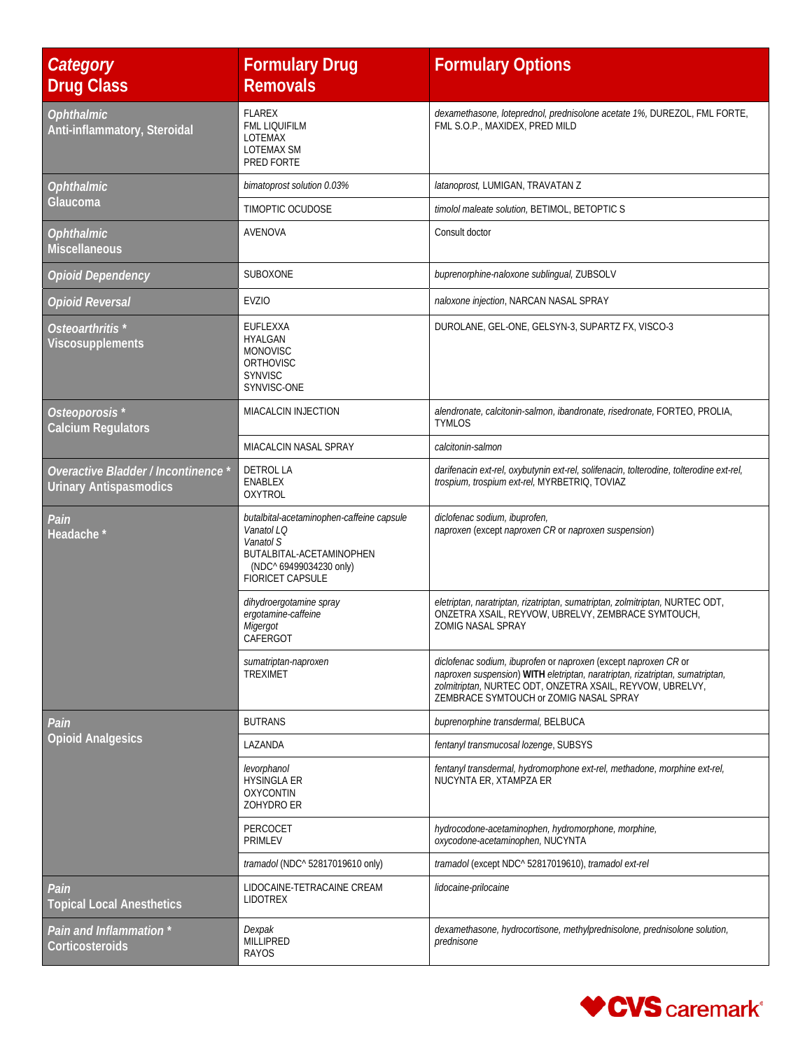| <b>Category</b><br><b>Drug Class</b>                                      | <b>Formulary Drug</b><br><b>Removals</b>                                                                                                               | <b>Formulary Options</b>                                                                                                                                                                                                                               |
|---------------------------------------------------------------------------|--------------------------------------------------------------------------------------------------------------------------------------------------------|--------------------------------------------------------------------------------------------------------------------------------------------------------------------------------------------------------------------------------------------------------|
| <b>Ophthalmic</b><br>Anti-inflammatory, Steroidal                         | <b>FLAREX</b><br><b>FML LIOUIFILM</b><br><b>LOTEMAX</b><br>LOTEMAX SM<br>PRED FORTE                                                                    | dexamethasone, loteprednol, prednisolone acetate 1%, DUREZOL, FML FORTE,<br>FML S.O.P., MAXIDEX, PRED MILD                                                                                                                                             |
| <b>Ophthalmic</b>                                                         | bimatoprost solution 0.03%                                                                                                                             | latanoprost, LUMIGAN, TRAVATAN Z                                                                                                                                                                                                                       |
| Glaucoma                                                                  | TIMOPTIC OCUDOSE                                                                                                                                       | timolol maleate solution, BETIMOL, BETOPTIC S                                                                                                                                                                                                          |
| <i><b>Ophthalmic</b></i><br><b>Miscellaneous</b>                          | AVENOVA                                                                                                                                                | Consult doctor                                                                                                                                                                                                                                         |
| <b>Opioid Dependency</b>                                                  | <b>SUBOXONE</b>                                                                                                                                        | buprenorphine-naloxone sublingual, ZUBSOLV                                                                                                                                                                                                             |
| <b>Opioid Reversal</b>                                                    | <b>EVZIO</b>                                                                                                                                           | naloxone injection, NARCAN NASAL SPRAY                                                                                                                                                                                                                 |
| Osteoarthritis <sup>*</sup><br>Viscosupplements                           | EUFLEXXA<br><b>HYALGAN</b><br><b>MONOVISC</b><br><b>ORTHOVISC</b><br><b>SYNVISC</b><br>SYNVISC-ONE                                                     | DUROLANE, GEL-ONE, GELSYN-3, SUPARTZ FX, VISCO-3                                                                                                                                                                                                       |
| Osteoporosis <sup>*</sup><br><b>Calcium Regulators</b>                    | <b>MIACALCIN INJECTION</b>                                                                                                                             | alendronate, calcitonin-salmon, ibandronate, risedronate, FORTEO, PROLIA,<br><b>TYMLOS</b>                                                                                                                                                             |
|                                                                           | MIACALCIN NASAL SPRAY                                                                                                                                  | calcitonin-salmon                                                                                                                                                                                                                                      |
| <b>Overactive Bladder / Incontinence</b><br><b>Urinary Antispasmodics</b> | DETROL LA<br><b>ENABLEX</b><br><b>OXYTROL</b>                                                                                                          | darifenacin ext-rel, oxybutynin ext-rel, solifenacin, tolterodine, tolterodine ext-rel,<br>trospium, trospium ext-rel, MYRBETRIQ, TOVIAZ                                                                                                               |
| Pain<br>Headache *                                                        | butalbital-acetaminophen-caffeine capsule<br>Vanatol LQ<br>Vanatol S<br>BUTALBITAL-ACETAMINOPHEN<br>(NDC^ 69499034230 only)<br><b>FIORICET CAPSULE</b> | diclofenac sodium, ibuprofen,<br>naproxen (except naproxen CR or naproxen suspension)                                                                                                                                                                  |
|                                                                           | dihydroergotamine spray<br>ergotamine-caffeine<br>Migergot<br>CAFERGOT                                                                                 | eletriptan, naratriptan, rizatriptan, sumatriptan, zolmitriptan, NURTEC ODT,<br>ONZETRA XSAIL, REYVOW, UBRELVY, ZEMBRACE SYMTOUCH,<br><b>ZOMIG NASAL SPRAY</b>                                                                                         |
|                                                                           | sumatriptan-naproxen<br><b>TREXIMET</b>                                                                                                                | diclofenac sodium, ibuprofen or naproxen (except naproxen CR or<br>naproxen suspension) WITH eletriptan, naratriptan, rizatriptan, sumatriptan,<br>zolmitriptan, NURTEC ODT, ONZETRA XSAIL, REYVOW, UBRELVY,<br>ZEMBRACE SYMTOUCH or ZOMIG NASAL SPRAY |
| Pain                                                                      | <b>BUTRANS</b>                                                                                                                                         | buprenorphine transdermal, BELBUCA                                                                                                                                                                                                                     |
| <b>Opioid Analgesics</b>                                                  | LAZANDA                                                                                                                                                | fentanyl transmucosal lozenge, SUBSYS                                                                                                                                                                                                                  |
|                                                                           | levorphanol<br><b>HYSINGLA ER</b><br><b>OXYCONTIN</b><br>ZOHYDRO ER                                                                                    | fentanyl transdermal, hydromorphone ext-rel, methadone, morphine ext-rel,<br>NUCYNTA ER, XTAMPZA ER                                                                                                                                                    |
|                                                                           | PERCOCET<br><b>PRIMLEV</b>                                                                                                                             | hydrocodone-acetaminophen, hydromorphone, morphine,<br>oxycodone-acetaminophen, NUCYNTA                                                                                                                                                                |
|                                                                           | tramadol (NDC^ 52817019610 only)                                                                                                                       | tramadol (except NDC^ 52817019610), tramadol ext-rel                                                                                                                                                                                                   |
| Pain<br><b>Topical Local Anesthetics</b>                                  | LIDOCAINE-TETRACAINE CREAM<br><b>LIDOTREX</b>                                                                                                          | lidocaine-prilocaine                                                                                                                                                                                                                                   |
| Pain and Inflammation *<br>Corticosteroids                                | Dexpak<br><b>MILLIPRED</b><br><b>RAYOS</b>                                                                                                             | dexamethasone, hydrocortisone, methylprednisolone, prednisolone solution,<br>prednisone                                                                                                                                                                |

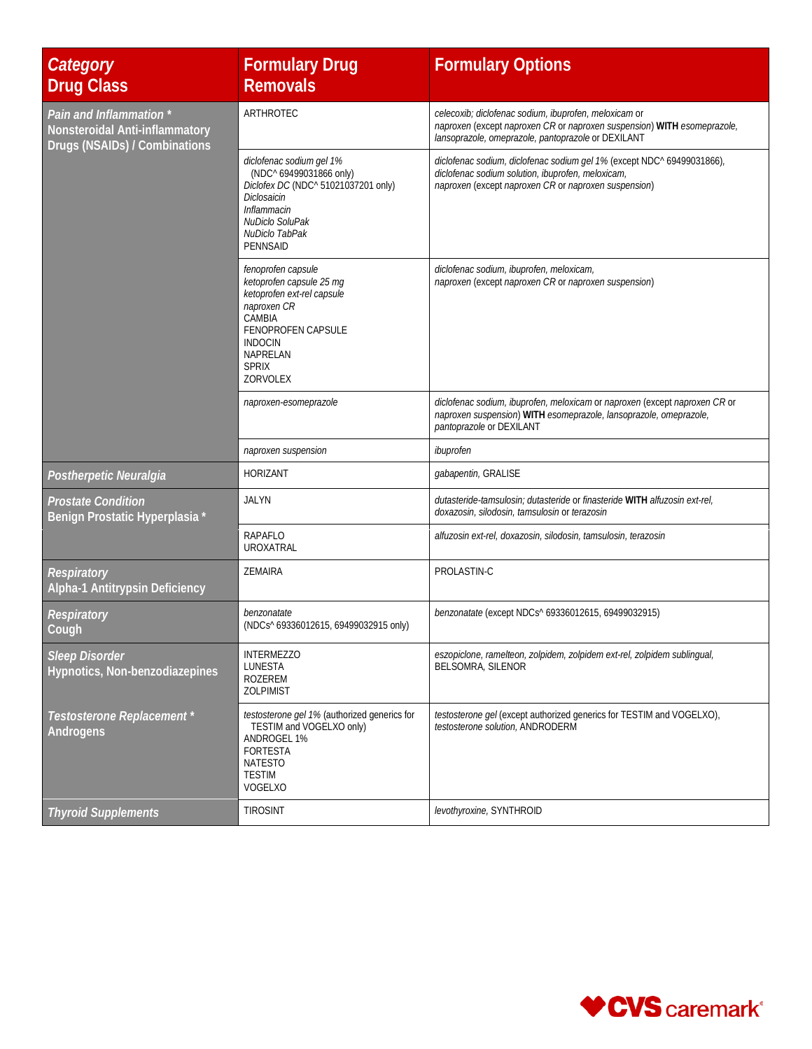| Category<br><b>Drug Class</b>                                                              | <b>Formulary Drug</b><br><b>Removals</b>                                                                                                                                              | <b>Formulary Options</b>                                                                                                                                                               |
|--------------------------------------------------------------------------------------------|---------------------------------------------------------------------------------------------------------------------------------------------------------------------------------------|----------------------------------------------------------------------------------------------------------------------------------------------------------------------------------------|
| Pain and Inflammation *<br>Nonsteroidal Anti-inflammatory<br>Drugs (NSAIDs) / Combinations | ARTHROTEC                                                                                                                                                                             | celecoxib; diclofenac sodium, ibuprofen, meloxicam or<br>naproxen (except naproxen CR or naproxen suspension) WITH esomeprazole,<br>lansoprazole, omeprazole, pantoprazole or DEXILANT |
|                                                                                            | diclofenac sodium gel 1%<br>(NDC^ 69499031866 only)<br>Diclofex DC (NDC^ 51021037201 only)<br>Diclosaicin<br>Inflammacin<br>NuDiclo SoluPak<br>NuDiclo TabPak<br><b>PENNSAID</b>      | diclofenac sodium, diclofenac sodium gel 1% (except NDC^ 69499031866),<br>diclofenac sodium solution, ibuprofen, meloxicam,<br>naproxen (except naproxen CR or naproxen suspension)    |
|                                                                                            | fenoprofen capsule<br>ketoprofen capsule 25 mg<br>ketoprofen ext-rel capsule<br>naproxen CR<br>CAMBIA<br>FENOPROFEN CAPSULE<br><b>INDOCIN</b><br>NAPRELAN<br><b>SPRIX</b><br>ZORVOLEX | diclofenac sodium, ibuprofen, meloxicam,<br>naproxen (except naproxen CR or naproxen suspension)                                                                                       |
|                                                                                            | naproxen-esomeprazole                                                                                                                                                                 | diclofenac sodium, ibuprofen, meloxicam or naproxen (except naproxen CR or<br>naproxen suspension) WITH esomeprazole, lansoprazole, omeprazole,<br>pantoprazole or DEXILANT            |
|                                                                                            | naproxen suspension                                                                                                                                                                   | ibuprofen                                                                                                                                                                              |
| Postherpetic Neuralgia                                                                     | <b>HORIZANT</b>                                                                                                                                                                       | gabapentin, GRALISE                                                                                                                                                                    |
| <b>Prostate Condition</b><br>Benign Prostatic Hyperplasia *                                | <b>JALYN</b>                                                                                                                                                                          | dutasteride-tamsulosin; dutasteride or finasteride WITH alfuzosin ext-rel,<br>doxazosin, silodosin, tamsulosin or terazosin                                                            |
|                                                                                            | <b>RAPAFLO</b><br>UROXATRAL                                                                                                                                                           | alfuzosin ext-rel, doxazosin, silodosin, tamsulosin, terazosin                                                                                                                         |
| Respiratory<br>Alpha-1 Antitrypsin Deficiency                                              | <b>ZEMAIRA</b>                                                                                                                                                                        | PROLASTIN-C                                                                                                                                                                            |
| <b>Respiratory</b><br>Cough                                                                | benzonatate<br>(NDCs^69336012615, 69499032915 only)                                                                                                                                   | benzonatate (except NDCs^ 69336012615, 69499032915)                                                                                                                                    |
| <b>Sleep Disorder</b><br>Hypnotics, Non-benzodiazepines                                    | <b>INTERMEZZO</b><br>LUNESTA<br>ROZEREM<br><b>ZOLPIMIST</b>                                                                                                                           | eszopiclone, ramelteon, zolpidem, zolpidem ext-rel, zolpidem sublingual,<br><b>BELSOMRA, SILENOR</b>                                                                                   |
| Testosterone Replacement *<br>Androgens                                                    | testosterone gel 1% (authorized generics for<br>TESTIM and VOGELXO only)<br>ANDROGEL 1%<br><b>FORTESTA</b><br><b>NATESTO</b><br><b>TESTIM</b><br>VOGELXO                              | testosterone gel (except authorized generics for TESTIM and VOGELXO),<br>testosterone solution, ANDRODERM                                                                              |
| <b>Thyroid Supplements</b>                                                                 | <b>TIROSINT</b>                                                                                                                                                                       | levothyroxine, SYNTHROID                                                                                                                                                               |

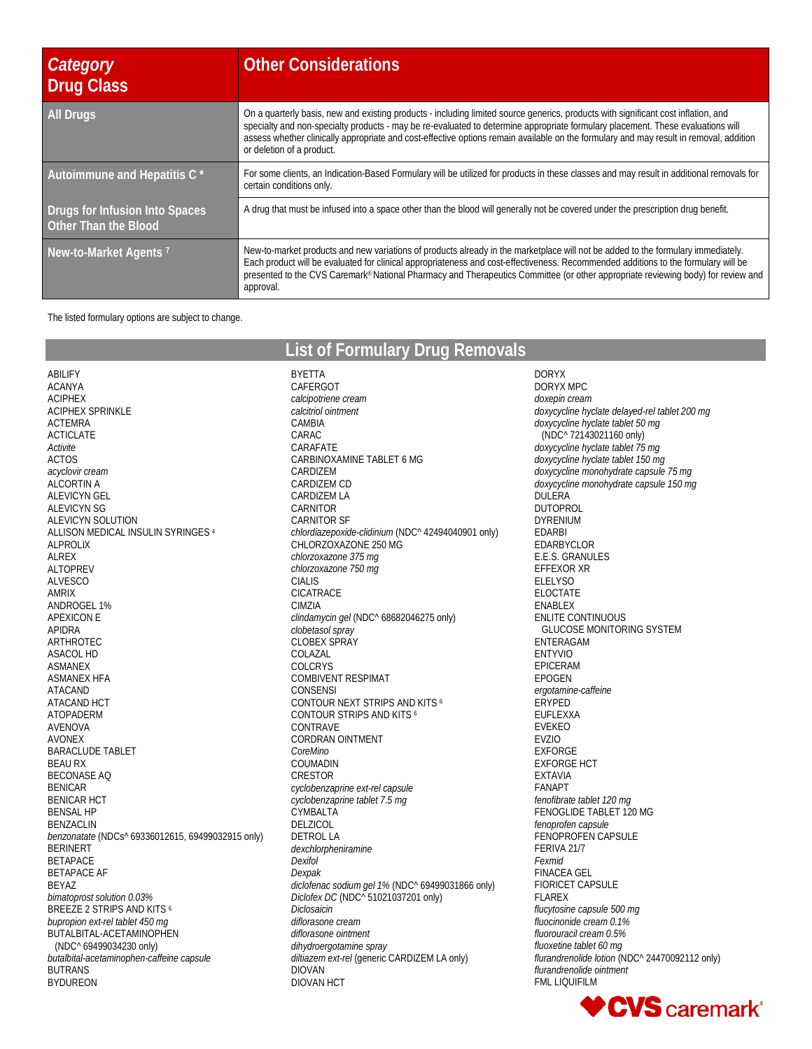| Category<br>Drug Class                                 | <b>Other Considerations</b>                                                                                                                                                                                                                                                                                                                                                                                                                  |
|--------------------------------------------------------|----------------------------------------------------------------------------------------------------------------------------------------------------------------------------------------------------------------------------------------------------------------------------------------------------------------------------------------------------------------------------------------------------------------------------------------------|
| <b>All Drugs</b>                                       | On a quarterly basis, new and existing products - including limited source generics, products with significant cost inflation, and<br>specialty and non-specialty products - may be re-evaluated to determine appropriate formulary placement. These evaluations will<br>assess whether clinically appropriate and cost-effective options remain available on the formulary and may result in removal, addition<br>or deletion of a product. |
| Autoimmune and Hepatitis C *                           | For some clients, an Indication-Based Formulary will be utilized for products in these classes and may result in additional removals for<br>certain conditions only.                                                                                                                                                                                                                                                                         |
| Drugs for Infusion Into Spaces<br>Other Than the Blood | A drug that must be infused into a space other than the blood will generally not be covered under the prescription drug benefit.                                                                                                                                                                                                                                                                                                             |
| New-to-Market Agents <sup>7</sup>                      | New-to-market products and new variations of products already in the marketplace will not be added to the formulary immediately.<br>Each product will be evaluated for clinical appropriateness and cost-effectiveness. Recommended additions to the formulary will be<br>presented to the CVS Caremark® National Pharmacy and Therapeutics Committee (or other appropriate reviewing body) for review and<br>approval.                      |

The listed formulary options are subject to change.

**List of Formulary Drug Removals**

BYETTA

ABILIFY ACANYA ACIPHEX ACIPHEX SPRINKLE ACTEMRA ACTICLATE *Activite* ACTOS *acyclovir cream* ALCORTIN A ALEVICYN GEL ALEVICYN SG ALEVICYN SOLUTION ALLISON MEDICAL INSULIN SYRINGES 4 ALPROLIX ALREX ALTOPREV ALVESCO AMRIX ANDROGEL 1% APEXICON E APIDRA ARTHROTEC ASACOL HD ASMANEX ASMANEX HFA ATACAND ATACAND HCT ATOPADERM AVENOVA AVONEX BARACLUDE TABLET BEAU RX BECONASE AQ BENICAR BENICAR HCT BENSAL HP BENZACLIN *benzonatate* (NDCs^ 69336012615, 69499032915 only) BERINERT BETAPACE BETAPACE AF BEYAZ *bimatoprost solution 0.03%* BREEZE 2 STRIPS AND KITS 6 *bupropion ext-rel tablet 450 mg* BUTALBITAL-ACETAMINOPHEN (NDC^ 69499034230 only) *butalbital-acetaminophen-caffeine capsule* BUTRANS BYDUREON

CAFERGOT *calcipotriene cream calcitriol ointment* CAMBIA CARAC CARAFATE CARBINOXAMINE TABLET 6 MG CARDIZEM CARDIZEM CD CARDIZEM LA CARNITOR CARNITOR SF *chlordiazepoxide-clidinium* (NDC^ 42494040901 only) CHLORZOXAZONE 250 MG *chlorzoxazone 375 mg chlorzoxazone 750 mg* CIALIS CICATRACE CIMZIA *clindamycin gel* (NDC^ 68682046275 only) *clobetasol spray* CLOBEX SPRAY COLAZAL COLCRYS COMBIVENT RESPIMAT **CONSENSI** CONTOUR NEXT STRIPS AND KITS 6 CONTOUR STRIPS AND KITS 6 CONTRAVE CORDRAN OINTMENT *CoreMino* COUMADIN CRESTOR *cyclobenzaprine ext-rel capsule cyclobenzaprine tablet 7.5 mg* **CYMBALTA** DELZICOL DETROL LA *dexchlorpheniramine Dexifol Dexpak diclofenac sodium gel 1%* (NDC^ 69499031866 only) *Diclofex DC* (NDC^ 51021037201 only) *Diclosaicin diflorasone cream diflorasone ointment dihydroergotamine spray diltiazem ext-rel* (generic CARDIZEM LA only) DIOVAN DIOVAN HCT

DORYX DORYX MPC *doxepin cream doxycycline hyclate delayed-rel tablet 200 mg doxycycline hyclate tablet 50 mg* (NDC^ 72143021160 only) *doxycycline hyclate tablet 75 mg doxycycline hyclate tablet 150 mg doxycycline monohydrate capsule 75 mg doxycycline monohydrate capsule 150 mg* DULERA DUTOPROL DYRENIUM EDARBI EDARBYCLOR E.E.S. GRANULES EFFEXOR XR ELELYSO ELOCTATE ENABLEX ENLITE CONTINUOUS GLUCOSE MONITORING SYSTEM ENTERAGAM ENTYVIO EPICERAM EPOGEN *ergotamine-caffeine* ERYPED EUFLEXXA EVEKEO EVZIO EXFORGE EXFORGE HCT EXTAVIA FANAPT *fenofibrate tablet 120 mg* FENOGLIDE TABLET 120 MG *fenoprofen capsule* FENOPROFEN CAPSULE FERIVA 21/7 *Fexmid* FINACEA GEL FIORICET CAPSULE FLAREX *flucytosine capsule 500 mg fluocinonide cream 0.1% fluorouracil cream 0.5% fluoxetine tablet 60 mg flurandrenolide lotion* (NDC^ 24470092112 only) *flurandrenolide ointment* FML LIQUIFILM

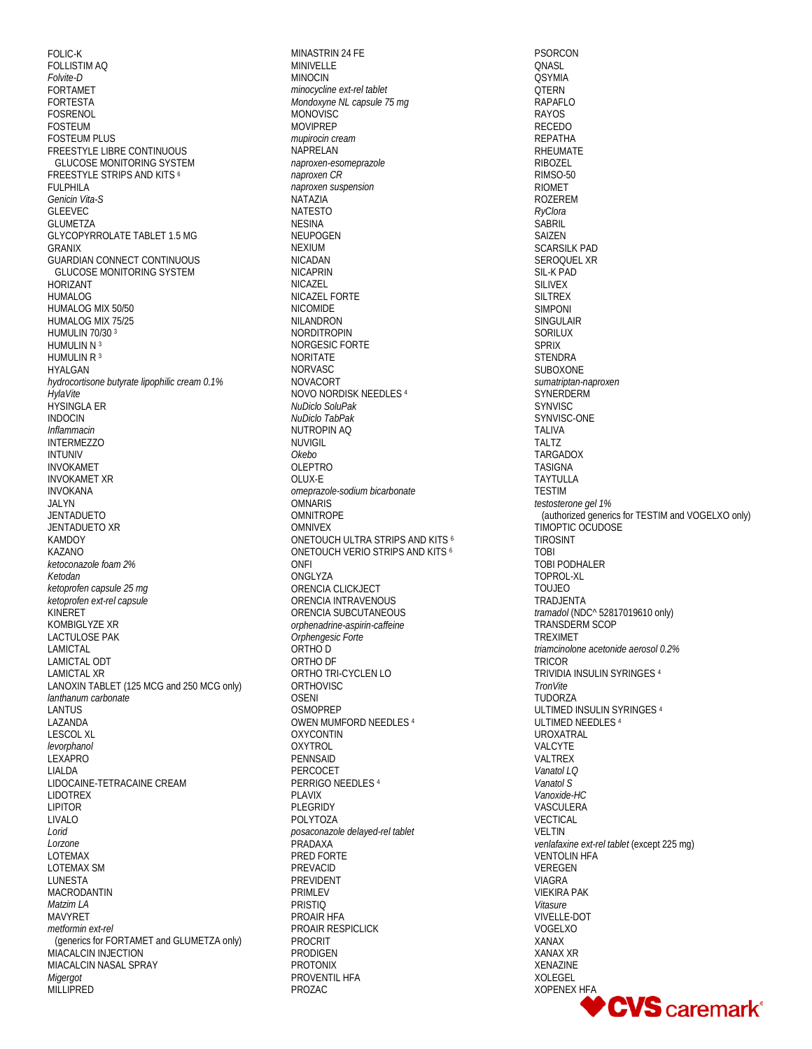FOLIC-K FOLLISTIM AQ Folvite-D FORTAMET **FORTESTA FOSRENOL FOSTEUM FOSTEUM PLUS** FREESTYLE LIBRE CONTINUOUS **GLUCOSE MONITORING SYSTEM** FREESTYLE STRIPS AND KITS 6 FULPHILA Genicin Vita-S **GLEEVEC GLUMETZA GLYCOPYRROLATE TABLET 1.5 MG GRANIX GUARDIAN CONNECT CONTINUOUS GLUCOSE MONITORING SYSTEM HORIZANT HUMALOG** HUMALOG MIX 50/50 HUMALOG MIX 75/25 **HUMULIN 70/30 3** HUMULIN N 3 HUMULIN R 3 **HYAI GAN** hydrocortisone butyrate lipophilic cream 0.1% HylaVite **HYSINGLA ER INDOCIN** Inflammacin **INTERMEZZO INTUNIV INVOKAMET INVOKAMET XR INVOKANA** JALYN **JENTADUETO JENTADUETO XR KAMDOY** KAZANO ketoconazole foam 2% Ketodan ketoprofen capsule 25 ma ketoprofen ext-rel capsule KINERET KOMBIGLYZE XR **LACTULOSE PAK** LAMICTAL **LAMICTAL ODT LAMICTAL XR** LANOXIN TABLET (125 MCG and 250 MCG only) lanthanum carbonate **LANTUS** LAZANDA **LESCOL XL** levorphanol LEXAPRO LIALDA LIDOCAINE-TETRACAINE CREAM **LIDOTREX LIPITOR LIVALO** Lorid Lorzone LOTEMAX **LOTEMAX SM I UNESTA MACRODANTIN** Matzim LA **MAVYRET** metformin ext-rel (generics for FORTAMET and GLUMETZA only) MIACALCIN INJECTION MIACALCIN NASAL SPRAY Migergot MILLIPRED

MINASTRIN 24 FE **MINIVELLE MINOCIN** minocycline ext-rel tablet Mondoxyne NL capsule 75 mg **MONOVISC MOVIPREP** mupirocin cream NAPRELAN naproxen-esomeprazole naproxen CR naproxen suspension NATAZIA **NATESTO NESINA NEUPOGEN NEXIUM NICADAN NICAPRIN NICAZEL** NICAZEL FORTE **NICOMIDE NILANDRON NORDITROPIN** NORGESIC FORTE **NORITATE NORVASC NOVACORT** NOVO NORDISK NEEDLES 4 NuDiclo SoluPak NuDiclo TabPak **NUTROPIN AQ NI IVIGIL** Okebo **OLEPTRO** OLUX-E omeprazole-sodium bicarbonate **OMNARIS OMNITROPE OMNIVEX** ONETOUCH ULTRA STRIPS AND KITS 6 ONETOUCH VERIO STRIPS AND KITS 6 **ONFI** ONGLYZA ORENCIA CLICKJECT ORENCIA INTRAVENOUS ORENCIA SUBCUTANEOUS orphenadrine-aspirin-caffeine Orphenaesic Forte ORTHO D ORTHO DF ORTHO TRI-CYCLEN LO ORTHOVISC **OSENI OSMOPREP OWEN MUMFORD NEEDLES 4 OXYCONTIN** OXYTROL PENNSAID PERCOCET PERRIGO NEEDLES 4 **PLAVIX** PLEGRIDY POLYTOZA posaconazole delayed-rel tablet PRADAXA PRED FORTE PREVACID PREVIDENT **PRIMLEV PRISTIQ** PROAIR HFA PROAIR RESPICLICK **PROCRIT PRODIGEN PROTONIX PROVENTIL HFA** PROZAC

**PSORCON QNASL OSYMIA QTERN** RAPAFLO **RAYOS RECEDO** REPATHA RHEUMATE **RIBOZEL** RIMSO-50 **RIOMET ROZEREM** RyClora **SABRIL SAIZEN SCARSILK PAD** SEROOUEL XR SIL-K PAD **SILIVEX SILTREX SIMPONI** SINGULAIR SORILUX **SPRIX STENDRA** SUBOXONE sumatriptan-naproxen SYNERDERM SYNVISC SYNVISC-ONE **TALIVA TAI T7 TARGADOX TASIGNA** TAYTULLA **TESTIM** testosterone gel 1% (authorized generics for TESTIM and VOGELXO only) TIMOPTIC OCUDOSE **TIROSINT TORI** TOBI PODHALER TOPROL-XL **TOUJEO** TRADJENTA tramadol (NDC^ 52817019610 only) **TRANSDERM SCOP TREXIMET** triamcinolone acetonide aerosol 0.2% **TRICOR** TRIVIDIA INSULIN SYRINGES<sup>4</sup> **TronVite TUDORZA** ULTIMED INSULIN SYRINGES 4 ULTIMED NEEDLES<sup>4</sup> UROXATRAL VALCYTE VALTREX Vanatol LO Vanatol S Vanoxide-HC VASCULERA VECTICAL **VELTIN** venlafaxine ext-rel tablet (except 225 mq) **VENTOLIN HFA** VEREGEN **VIAGRA VIEKIRA PAK** Vitasure **VIVELLE-DOT** VOGEL XO XANAX **XANAX XR** XENAZINE **XOLEGEL XOPENEX HFA CVS** caremark<sup>®</sup>